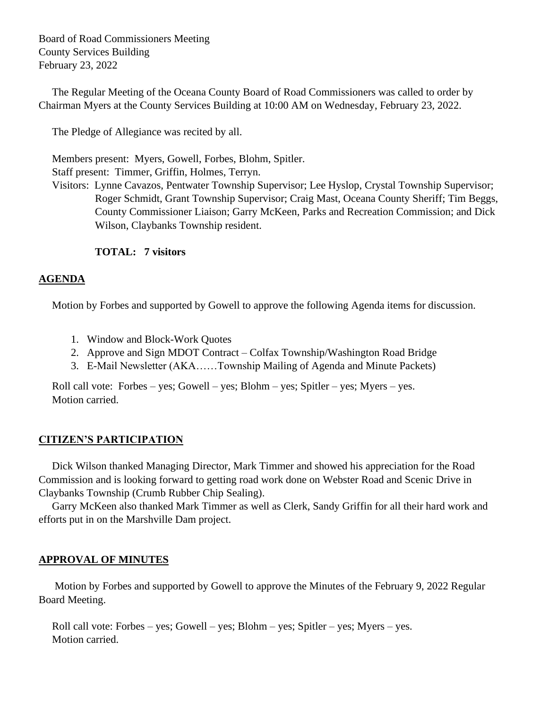Board of Road Commissioners Meeting County Services Building February 23, 2022

 The Regular Meeting of the Oceana County Board of Road Commissioners was called to order by Chairman Myers at the County Services Building at 10:00 AM on Wednesday, February 23, 2022.

The Pledge of Allegiance was recited by all.

Members present: Myers, Gowell, Forbes, Blohm, Spitler.

Staff present: Timmer, Griffin, Holmes, Terryn.

 Visitors: Lynne Cavazos, Pentwater Township Supervisor; Lee Hyslop, Crystal Township Supervisor; Roger Schmidt, Grant Township Supervisor; Craig Mast, Oceana County Sheriff; Tim Beggs, County Commissioner Liaison; Garry McKeen, Parks and Recreation Commission; and Dick Wilson, Claybanks Township resident.

## **TOTAL: 7 visitors**

# **AGENDA**

Motion by Forbes and supported by Gowell to approve the following Agenda items for discussion.

- 1. Window and Block-Work Quotes
- 2. Approve and Sign MDOT Contract Colfax Township/Washington Road Bridge
- 3. E-Mail Newsletter (AKA……Township Mailing of Agenda and Minute Packets)

 Roll call vote: Forbes – yes; Gowell – yes; Blohm – yes; Spitler – yes; Myers – yes. Motion carried.

# **CITIZEN'S PARTICIPATION**

 Dick Wilson thanked Managing Director, Mark Timmer and showed his appreciation for the Road Commission and is looking forward to getting road work done on Webster Road and Scenic Drive in Claybanks Township (Crumb Rubber Chip Sealing).

 Garry McKeen also thanked Mark Timmer as well as Clerk, Sandy Griffin for all their hard work and efforts put in on the Marshville Dam project.

## **APPROVAL OF MINUTES**

Motion by Forbes and supported by Gowell to approve the Minutes of the February 9, 2022 Regular Board Meeting.

 Roll call vote: Forbes – yes; Gowell – yes; Blohm – yes; Spitler – yes; Myers – yes. Motion carried.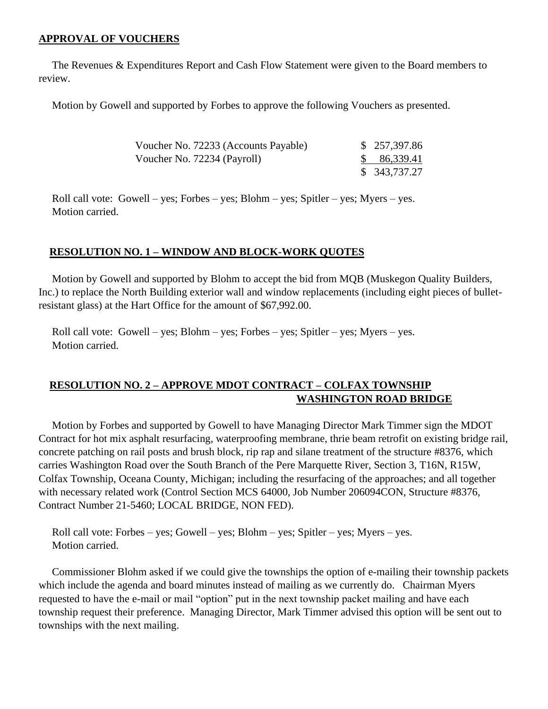#### **APPROVAL OF VOUCHERS**

 The Revenues & Expenditures Report and Cash Flow Statement were given to the Board members to review.

Motion by Gowell and supported by Forbes to approve the following Vouchers as presented.

| Voucher No. 72233 (Accounts Payable) | \$257,397.86  |
|--------------------------------------|---------------|
| Voucher No. 72234 (Payroll)          | \$86,339.41   |
|                                      | \$ 343,737.27 |

 Roll call vote: Gowell – yes; Forbes – yes; Blohm – yes; Spitler – yes; Myers – yes. Motion carried.

## **RESOLUTION NO. 1 – WINDOW AND BLOCK-WORK QUOTES**

 Motion by Gowell and supported by Blohm to accept the bid from MQB (Muskegon Quality Builders, Inc.) to replace the North Building exterior wall and window replacements (including eight pieces of bulletresistant glass) at the Hart Office for the amount of \$67,992.00.

 Roll call vote: Gowell – yes; Blohm – yes; Forbes – yes; Spitler – yes; Myers – yes. Motion carried.

# **RESOLUTION NO. 2 – APPROVE MDOT CONTRACT – COLFAX TOWNSHIP WASHINGTON ROAD BRIDGE**

 Motion by Forbes and supported by Gowell to have Managing Director Mark Timmer sign the MDOT Contract for hot mix asphalt resurfacing, waterproofing membrane, thrie beam retrofit on existing bridge rail, concrete patching on rail posts and brush block, rip rap and silane treatment of the structure #8376, which carries Washington Road over the South Branch of the Pere Marquette River, Section 3, T16N, R15W, Colfax Township, Oceana County, Michigan; including the resurfacing of the approaches; and all together with necessary related work (Control Section MCS 64000, Job Number 206094CON, Structure #8376, Contract Number 21-5460; LOCAL BRIDGE, NON FED).

 Roll call vote: Forbes – yes; Gowell – yes; Blohm – yes; Spitler – yes; Myers – yes. Motion carried.

 Commissioner Blohm asked if we could give the townships the option of e-mailing their township packets which include the agenda and board minutes instead of mailing as we currently do. Chairman Myers requested to have the e-mail or mail "option" put in the next township packet mailing and have each township request their preference. Managing Director, Mark Timmer advised this option will be sent out to townships with the next mailing.